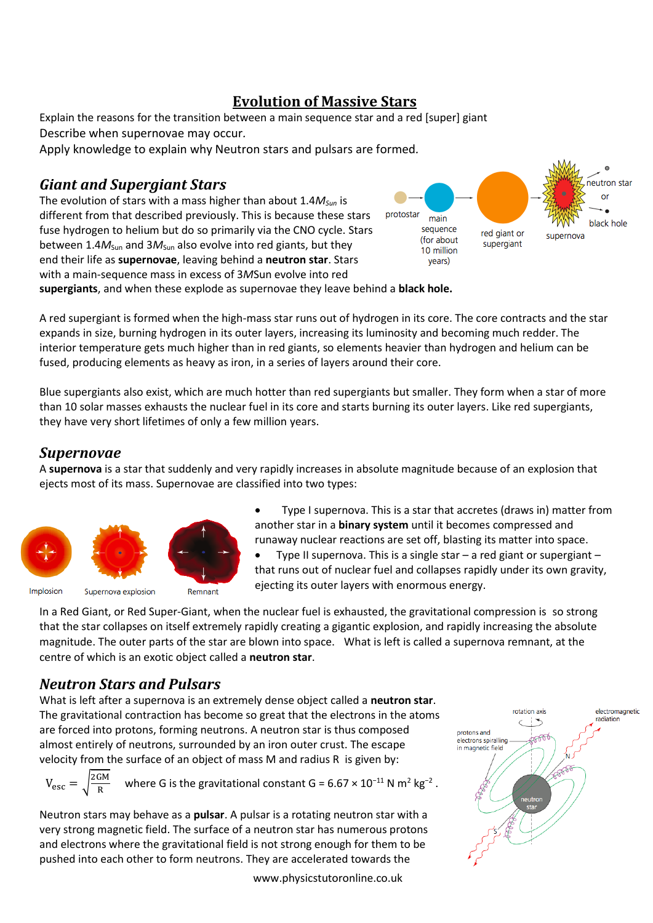## **Evolution of Massive Stars**

Explain the reasons for the transition between a main sequence star and a red [super] giant Describe when supernovae may occur*.*

Apply knowledge to explain why Neutron stars and pulsars are formed*.*

## *Giant and Supergiant Stars*

The evolution of stars with a mass higher than about 1.4*MSun* is different from that described previously. This is because these stars fuse hydrogen to helium but do so primarily via the CNO cycle. Stars between 1.4 $M_{Sun}$  and 3 $M_{Sun}$  also evolve into red giants, but they end their life as **supernovae**, leaving behind a **neutron star**. Stars with a main-sequence mass in excess of 3*M*Sun evolve into red



**supergiants**, and when these explode as supernovae they leave behind a **black hole.**

A red supergiant is formed when the high-mass star runs out of hydrogen in its core. The core contracts and the star expands in size, burning hydrogen in its outer layers, increasing its luminosity and becoming much redder. The interior temperature gets much higher than in red giants, so elements heavier than hydrogen and helium can be fused, producing elements as heavy as iron, in a series of layers around their core.

Blue supergiants also exist, which are much hotter than red supergiants but smaller. They form when a star of more than 10 solar masses exhausts the nuclear fuel in its core and starts burning its outer layers. Like red supergiants, they have very short lifetimes of only a few million years.

## *Supernovae*

A **supernova** is a star that suddenly and very rapidly increases in absolute magnitude because of an explosion that ejects most of its mass. Supernovae are classified into two types:



 Type I supernova. This is a star that accretes (draws in) matter from another star in a **binary system** until it becomes compressed and runaway nuclear reactions are set off, blasting its matter into space.

 Type II supernova. This is a single star – a red giant or supergiant – that runs out of nuclear fuel and collapses rapidly under its own gravity, ejecting its outer layers with enormous energy.

In a Red Giant, or Red Super-Giant, when the nuclear fuel is exhausted, the gravitational compression is so strong that the star collapses on itself extremely rapidly creating a gigantic explosion, and rapidly increasing the absolute magnitude. The outer parts of the star are blown into space. What is left is called a supernova remnant, at the centre of which is an exotic object called a **neutron star**.

## *Neutron Stars and Pulsars*

What is left after a supernova is an extremely dense object called a **neutron star**. The gravitational contraction has become so great that the electrons in the atoms are forced into protons, forming neutrons. A neutron star is thus composed almost entirely of neutrons, surrounded by an iron outer crust. The escape velocity from the surface of an object of mass M and radius R is given by:

$$
V_{\rm esc} = \sqrt{\frac{2GM}{R}}
$$
 where G is the gravitational constant G = 6.67 × 10<sup>-11</sup> N m<sup>2</sup> kg<sup>-2</sup>.

Neutron stars may behave as a **pulsar**. A pulsar is a rotating neutron star with a very strong magnetic field. The surface of a neutron star has numerous protons and electrons where the gravitational field is not strong enough for them to be pushed into each other to form neutrons. They are accelerated towards the

rotation axis electromagnetic radiation ┆╼ protons and ক্লা<br>বিভিন্ন electrons spiralling in magnetic field **ABB** 

www.physicstutoronline.co.uk